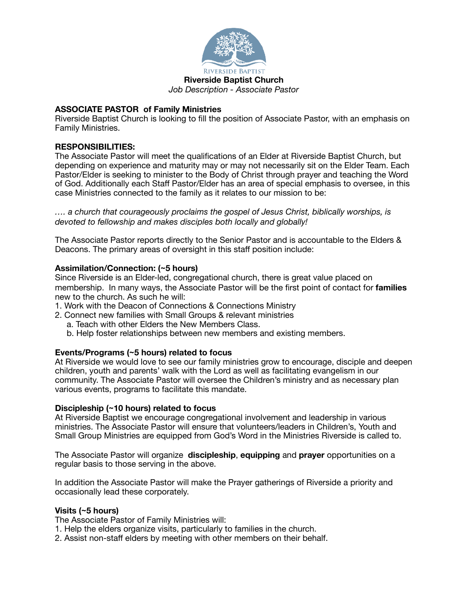

# **ASSOCIATE PASTOR of Family Ministries**

Riverside Baptist Church is looking to fill the position of Associate Pastor, with an emphasis on Family Ministries.

# **RESPONSIBILITIES:**

The Associate Pastor will meet the qualifications of an Elder at Riverside Baptist Church, but depending on experience and maturity may or may not necessarily sit on the Elder Team. Each Pastor/Elder is seeking to minister to the Body of Christ through prayer and teaching the Word of God. Additionally each Staff Pastor/Elder has an area of special emphasis to oversee, in this case Ministries connected to the family as it relates to our mission to be:

*…. a church that courageously proclaims the gospel of Jesus Christ, biblically worships, is devoted to fellowship and makes disciples both locally and globally!* 

The Associate Pastor reports directly to the Senior Pastor and is accountable to the Elders & Deacons. The primary areas of oversight in this staff position include:

## **Assimilation/Connection: (~5 hours)**

Since Riverside is an Elder-led, congregational church, there is great value placed on membership. In many ways, the Associate Pastor will be the first point of contact for **families** new to the church. As such he will:

- 1. Work with the Deacon of Connections & Connections Ministry
- 2. Connect new families with Small Groups & relevant ministries
	- a. Teach with other Elders the New Members Class.
	- b. Help foster relationships between new members and existing members.

## **Events/Programs (~5 hours) related to focus**

At Riverside we would love to see our family ministries grow to encourage, disciple and deepen children, youth and parents' walk with the Lord as well as facilitating evangelism in our community. The Associate Pastor will oversee the Children's ministry and as necessary plan various events, programs to facilitate this mandate.

## **Discipleship (~10 hours) related to focus**

At Riverside Baptist we encourage congregational involvement and leadership in various ministries. The Associate Pastor will ensure that volunteers/leaders in Children's, Youth and Small Group Ministries are equipped from God's Word in the Ministries Riverside is called to.

The Associate Pastor will organize **discipleship**, **equipping** and **prayer** opportunities on a regular basis to those serving in the above.

In addition the Associate Pastor will make the Prayer gatherings of Riverside a priority and occasionally lead these corporately.

## **Visits (~5 hours)**

The Associate Pastor of Family Ministries will:

- 1. Help the elders organize visits, particularly to families in the church.
- 2. Assist non-staff elders by meeting with other members on their behalf.